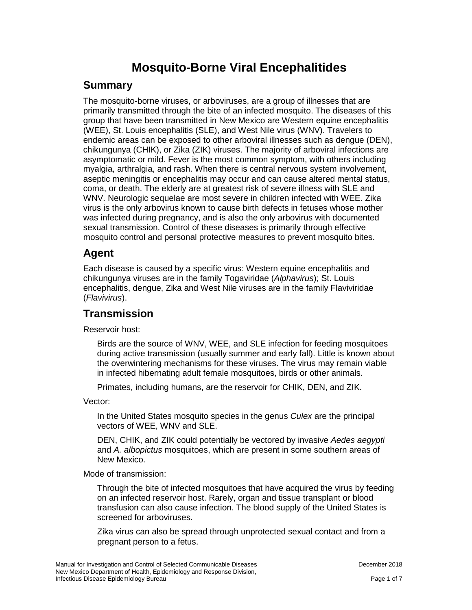# **Mosquito-Borne Viral Encephalitides**

### **Summary**

The mosquito-borne viruses, or arboviruses, are a group of illnesses that are primarily transmitted through the bite of an infected mosquito. The diseases of this group that have been transmitted in New Mexico are Western equine encephalitis (WEE), St. Louis encephalitis (SLE), and West Nile virus (WNV). Travelers to endemic areas can be exposed to other arboviral illnesses such as dengue (DEN), chikungunya (CHIK), or Zika (ZIK) viruses. The majority of arboviral infections are asymptomatic or mild. Fever is the most common symptom, with others including myalgia, arthralgia, and rash. When there is central nervous system involvement, aseptic meningitis or encephalitis may occur and can cause altered mental status, coma, or death. The elderly are at greatest risk of severe illness with SLE and WNV. Neurologic sequelae are most severe in children infected with WEE. Zika virus is the only arbovirus known to cause birth defects in fetuses whose mother was infected during pregnancy, and is also the only arbovirus with documented sexual transmission. Control of these diseases is primarily through effective mosquito control and personal protective measures to prevent mosquito bites.

# **Agent**

Each disease is caused by a specific virus: Western equine encephalitis and chikungunya viruses are in the family Togaviridae (*Alphavirus*); St. Louis encephalitis, dengue, Zika and West Nile viruses are in the family Flaviviridae (*Flavivirus*).

### **Transmission**

Reservoir host:

Birds are the source of WNV, WEE, and SLE infection for feeding mosquitoes during active transmission (usually summer and early fall). Little is known about the overwintering mechanisms for these viruses. The virus may remain viable in infected hibernating adult female mosquitoes, birds or other animals.

Primates, including humans, are the reservoir for CHIK, DEN, and ZIK.

Vector:

In the United States mosquito species in the genus *Culex* are the principal vectors of WEE, WNV and SLE.

DEN, CHIK, and ZIK could potentially be vectored by invasive *Aedes aegypti* and *A. albopictus* mosquitoes, which are present in some southern areas of New Mexico.

Mode of transmission:

Through the bite of infected mosquitoes that have acquired the virus by feeding on an infected reservoir host. Rarely, organ and tissue transplant or blood transfusion can also cause infection. The blood supply of the United States is screened for arboviruses.

Zika virus can also be spread through unprotected sexual contact and from a pregnant person to a fetus.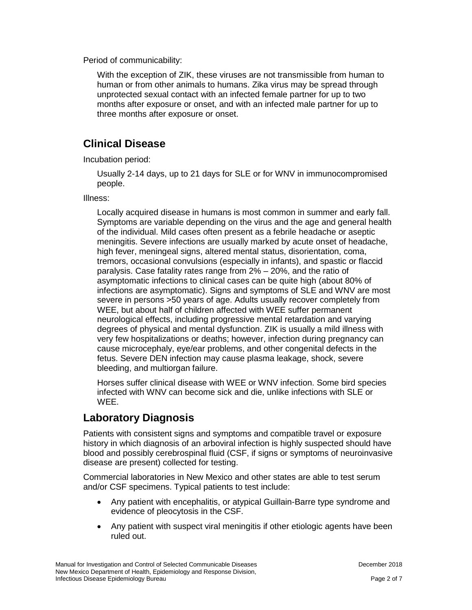Period of communicability:

With the exception of ZIK, these viruses are not transmissible from human to human or from other animals to humans. Zika virus may be spread through unprotected sexual contact with an infected female partner for up to two months after exposure or onset, and with an infected male partner for up to three months after exposure or onset.

# **Clinical Disease**

Incubation period:

Usually 2-14 days, up to 21 days for SLE or for WNV in immunocompromised people.

Illness:

Locally acquired disease in humans is most common in summer and early fall. Symptoms are variable depending on the virus and the age and general health of the individual. Mild cases often present as a febrile headache or aseptic meningitis. Severe infections are usually marked by acute onset of headache, high fever, meningeal signs, altered mental status, disorientation, coma, tremors, occasional convulsions (especially in infants), and spastic or flaccid paralysis. Case fatality rates range from 2% – 20%, and the ratio of asymptomatic infections to clinical cases can be quite high (about 80% of infections are asymptomatic). Signs and symptoms of SLE and WNV are most severe in persons >50 years of age. Adults usually recover completely from WEE, but about half of children affected with WEE suffer permanent neurological effects, including progressive mental retardation and varying degrees of physical and mental dysfunction. ZIK is usually a mild illness with very few hospitalizations or deaths; however, infection during pregnancy can cause microcephaly, eye/ear problems, and other congenital defects in the fetus. Severe DEN infection may cause plasma leakage, shock, severe bleeding, and multiorgan failure.

Horses suffer clinical disease with WEE or WNV infection. Some bird species infected with WNV can become sick and die, unlike infections with SLE or WEE.

# **Laboratory Diagnosis**

Patients with consistent signs and symptoms and compatible travel or exposure history in which diagnosis of an arboviral infection is highly suspected should have blood and possibly cerebrospinal fluid (CSF, if signs or symptoms of neuroinvasive disease are present) collected for testing.

Commercial laboratories in New Mexico and other states are able to test serum and/or CSF specimens. Typical patients to test include:

- Any patient with encephalitis, or atypical Guillain-Barre type syndrome and evidence of pleocytosis in the CSF.
- Any patient with suspect viral meningitis if other etiologic agents have been ruled out.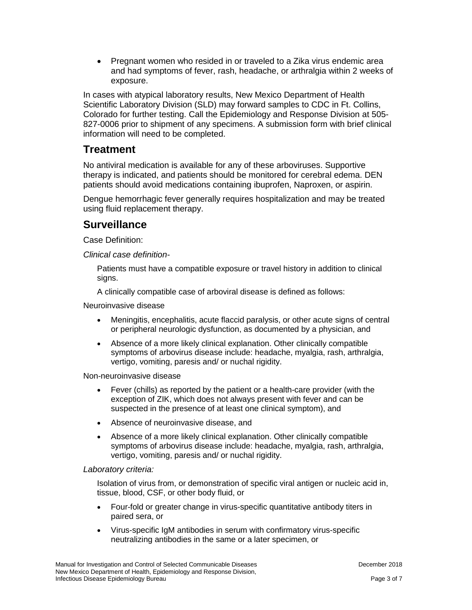• Pregnant women who resided in or traveled to a Zika virus endemic area and had symptoms of fever, rash, headache, or arthralgia within 2 weeks of exposure.

In cases with atypical laboratory results, New Mexico Department of Health Scientific Laboratory Division (SLD) may forward samples to CDC in Ft. Collins, Colorado for further testing. Call the Epidemiology and Response Division at 505- 827-0006 prior to shipment of any specimens. A submission form with brief clinical information will need to be completed.

### **Treatment**

No antiviral medication is available for any of these arboviruses. Supportive therapy is indicated, and patients should be monitored for cerebral edema. DEN patients should avoid medications containing ibuprofen, Naproxen, or aspirin.

Dengue hemorrhagic fever generally requires hospitalization and may be treated using fluid replacement therapy.

### **Surveillance**

Case Definition:

*Clinical case definition-*

Patients must have a compatible exposure or travel history in addition to clinical signs.

A clinically compatible case of arboviral disease is defined as follows:

Neuroinvasive disease

- Meningitis, encephalitis, acute flaccid paralysis, or other acute signs of central or peripheral neurologic dysfunction, as documented by a physician, and
- Absence of a more likely clinical explanation. Other clinically compatible symptoms of arbovirus disease include: headache, myalgia, rash, arthralgia, vertigo, vomiting, paresis and/ or nuchal rigidity.

Non-neuroinvasive disease

- Fever (chills) as reported by the patient or a health-care provider (with the exception of ZIK, which does not always present with fever and can be suspected in the presence of at least one clinical symptom), and
- Absence of neuroinvasive disease, and
- Absence of a more likely clinical explanation. Other clinically compatible symptoms of arbovirus disease include: headache, myalgia, rash, arthralgia, vertigo, vomiting, paresis and/ or nuchal rigidity.

#### *Laboratory criteria:*

Isolation of virus from, or demonstration of specific viral antigen or nucleic acid in, tissue, blood, CSF, or other body fluid, or

- Four-fold or greater change in virus-specific quantitative antibody titers in paired sera, or
- Virus-specific IgM antibodies in serum with confirmatory virus-specific neutralizing antibodies in the same or a later specimen, or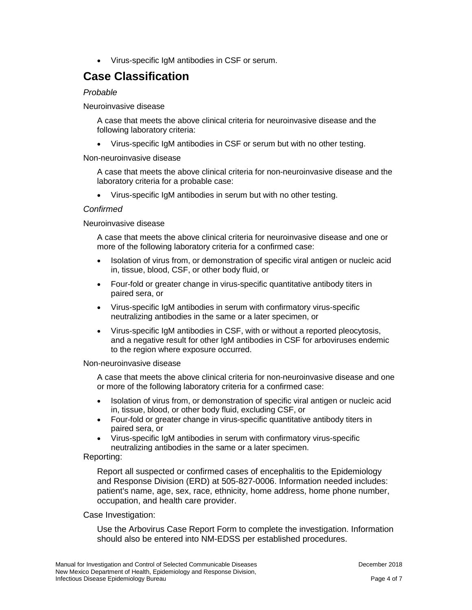• Virus-specific IgM antibodies in CSF or serum.

# **Case Classification**

#### *Probable*

Neuroinvasive disease

A case that meets the above clinical criteria for neuroinvasive disease and the following laboratory criteria:

• Virus-specific IgM antibodies in CSF or serum but with no other testing.

#### Non-neuroinvasive disease

A case that meets the above clinical criteria for non-neuroinvasive disease and the laboratory criteria for a probable case:

• Virus-specific IgM antibodies in serum but with no other testing.

#### *Confirmed*

#### Neuroinvasive disease

A case that meets the above clinical criteria for neuroinvasive disease and one or more of the following laboratory criteria for a confirmed case:

- Isolation of virus from, or demonstration of specific viral antigen or nucleic acid in, tissue, blood, CSF, or other body fluid, or
- Four-fold or greater change in virus-specific quantitative antibody titers in paired sera, or
- Virus-specific IgM antibodies in serum with confirmatory virus-specific neutralizing antibodies in the same or a later specimen, or
- Virus-specific IgM antibodies in CSF, with or without a reported pleocytosis, and a negative result for other IgM antibodies in CSF for arboviruses endemic to the region where exposure occurred.

#### Non-neuroinvasive disease

A case that meets the above clinical criteria for non-neuroinvasive disease and one or more of the following laboratory criteria for a confirmed case:

- Isolation of virus from, or demonstration of specific viral antigen or nucleic acid in, tissue, blood, or other body fluid, excluding CSF, or
- Four-fold or greater change in virus-specific quantitative antibody titers in paired sera, or
- Virus-specific IgM antibodies in serum with confirmatory virus-specific neutralizing antibodies in the same or a later specimen.

#### Reporting:

Report all suspected or confirmed cases of encephalitis to the Epidemiology and Response Division (ERD) at 505-827-0006. Information needed includes: patient's name, age, sex, race, ethnicity, home address, home phone number, occupation, and health care provider.

#### Case Investigation:

Use the Arbovirus Case Report Form to complete the investigation. Information should also be entered into NM-EDSS per established procedures.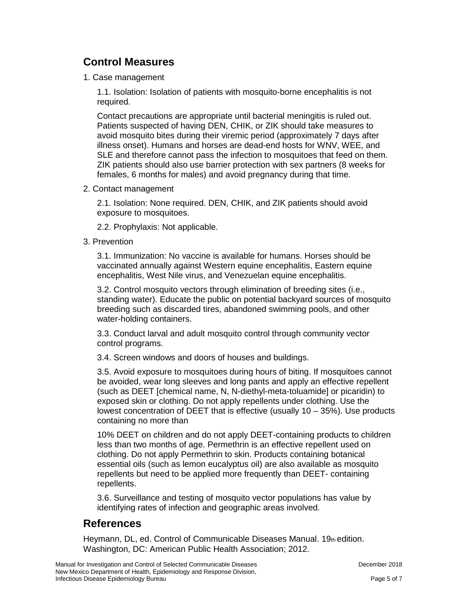# **Control Measures**

1. Case management

1.1. Isolation: Isolation of patients with mosquito-borne encephalitis is not required.

Contact precautions are appropriate until bacterial meningitis is ruled out. Patients suspected of having DEN, CHIK, or ZIK should take measures to avoid mosquito bites during their viremic period (approximately 7 days after illness onset). Humans and horses are dead-end hosts for WNV, WEE, and SLE and therefore cannot pass the infection to mosquitoes that feed on them. ZIK patients should also use barrier protection with sex partners (8 weeks for females, 6 months for males) and avoid pregnancy during that time.

2. Contact management

2.1. Isolation: None required. DEN, CHIK, and ZIK patients should avoid exposure to mosquitoes.

2.2. Prophylaxis: Not applicable.

3. Prevention

3.1. Immunization: No vaccine is available for humans. Horses should be vaccinated annually against Western equine encephalitis, Eastern equine encephalitis, West Nile virus, and Venezuelan equine encephalitis.

3.2. Control mosquito vectors through elimination of breeding sites (i.e., standing water). Educate the public on potential backyard sources of mosquito breeding such as discarded tires, abandoned swimming pools, and other water-holding containers.

3.3. Conduct larval and adult mosquito control through community vector control programs.

3.4. Screen windows and doors of houses and buildings.

3.5. Avoid exposure to mosquitoes during hours of biting. If mosquitoes cannot be avoided, wear long sleeves and long pants and apply an effective repellent (such as DEET [chemical name, N, N-diethyl-meta-toluamide] or picaridin) to exposed skin or clothing. Do not apply repellents under clothing. Use the lowest concentration of DEET that is effective (usually 10 – 35%). Use products containing no more than

10% DEET on children and do not apply DEET-containing products to children less than two months of age. Permethrin is an effective repellent used on clothing. Do not apply Permethrin to skin. Products containing botanical essential oils (such as lemon eucalyptus oil) are also available as mosquito repellents but need to be applied more frequently than DEET- containing repellents.

3.6. Surveillance and testing of mosquito vector populations has value by identifying rates of infection and geographic areas involved.

# **References**

Heymann, DL, ed. Control of Communicable Diseases Manual. 19th edition. Washington, DC: American Public Health Association; 2012.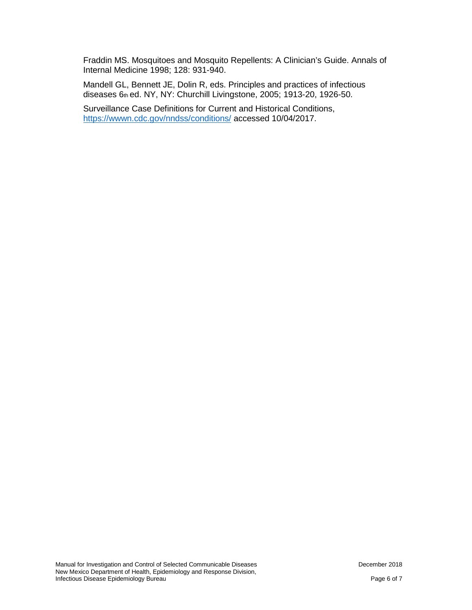Fraddin MS. Mosquitoes and Mosquito Repellents: A Clinician's Guide. Annals of Internal Medicine 1998; 128: 931-940.

Mandell GL, Bennett JE, Dolin R, eds. Principles and practices of infectious diseases 6th ed. NY, NY: Churchill Livingstone, 2005; 1913-20, 1926-50.

Surveillance Case Definitions for Current and Historical Conditions, <https://wwwn.cdc.gov/nndss/conditions/> accessed 10/04/2017.